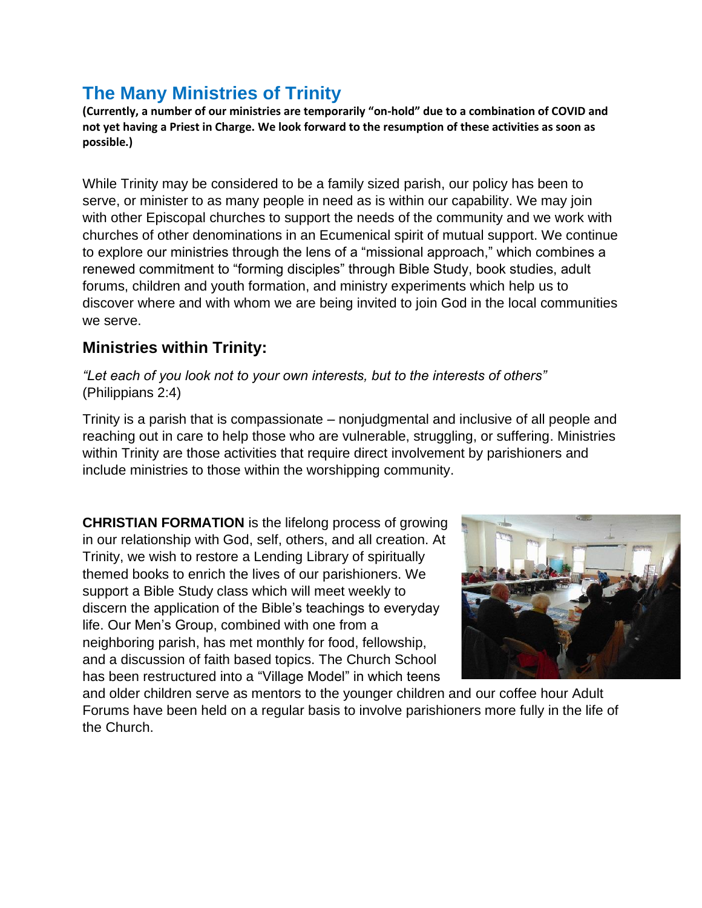## **The Many Ministries of Trinity**

**(Currently, a number of our ministries are temporarily "on-hold" due to a combination of COVID and not yet having a Priest in Charge. We look forward to the resumption of these activities as soon as possible.)**

While Trinity may be considered to be a family sized parish, our policy has been to serve, or minister to as many people in need as is within our capability. We may join with other Episcopal churches to support the needs of the community and we work with churches of other denominations in an Ecumenical spirit of mutual support. We continue to explore our ministries through the lens of a "missional approach," which combines a renewed commitment to "forming disciples" through Bible Study, book studies, adult forums, children and youth formation, and ministry experiments which help us to discover where and with whom we are being invited to join God in the local communities we serve.

## **Ministries within Trinity:**

*"Let each of you look not to your own interests, but to the interests of others"* (Philippians 2:4)

Trinity is a parish that is compassionate – nonjudgmental and inclusive of all people and reaching out in care to help those who are vulnerable, struggling, or suffering. Ministries within Trinity are those activities that require direct involvement by parishioners and include ministries to those within the worshipping community.

**CHRISTIAN FORMATION** is the lifelong process of growing in our relationship with God, self, others, and all creation. At Trinity, we wish to restore a Lending Library of spiritually themed books to enrich the lives of our parishioners. We support a Bible Study class which will meet weekly to discern the application of the Bible's teachings to everyday life. Our Men's Group, combined with one from a neighboring parish, has met monthly for food, fellowship, and a discussion of faith based topics. The Church School has been restructured into a "Village Model" in which teens



and older children serve as mentors to the younger children and our coffee hour Adult Forums have been held on a regular basis to involve parishioners more fully in the life of the Church.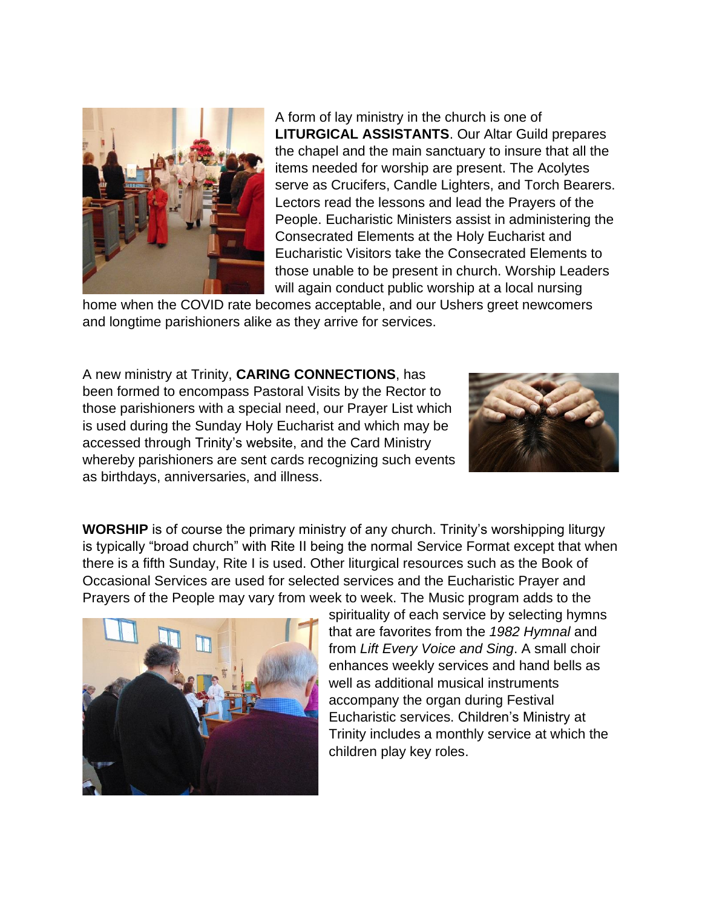

A form of lay ministry in the church is one of **LITURGICAL ASSISTANTS**. Our Altar Guild prepares the chapel and the main sanctuary to insure that all the items needed for worship are present. The Acolytes serve as Crucifers, Candle Lighters, and Torch Bearers. Lectors read the lessons and lead the Prayers of the People. Eucharistic Ministers assist in administering the Consecrated Elements at the Holy Eucharist and Eucharistic Visitors take the Consecrated Elements to those unable to be present in church. Worship Leaders will again conduct public worship at a local nursing

home when the COVID rate becomes acceptable, and our Ushers greet newcomers and longtime parishioners alike as they arrive for services.

A new ministry at Trinity, **CARING CONNECTIONS**, has been formed to encompass Pastoral Visits by the Rector to those parishioners with a special need, our Prayer List which is used during the Sunday Holy Eucharist and which may be accessed through Trinity's website, and the Card Ministry whereby parishioners are sent cards recognizing such events as birthdays, anniversaries, and illness.



**WORSHIP** is of course the primary ministry of any church. Trinity's worshipping liturgy is typically "broad church" with Rite II being the normal Service Format except that when there is a fifth Sunday, Rite I is used. Other liturgical resources such as the Book of Occasional Services are used for selected services and the Eucharistic Prayer and Prayers of the People may vary from week to week. The Music program adds to the



spirituality of each service by selecting hymns that are favorites from the *1982 Hymnal* and from *Lift Every Voice and Sing*. A small choir enhances weekly services and hand bells as well as additional musical instruments accompany the organ during Festival Eucharistic services. Children's Ministry at Trinity includes a monthly service at which the children play key roles.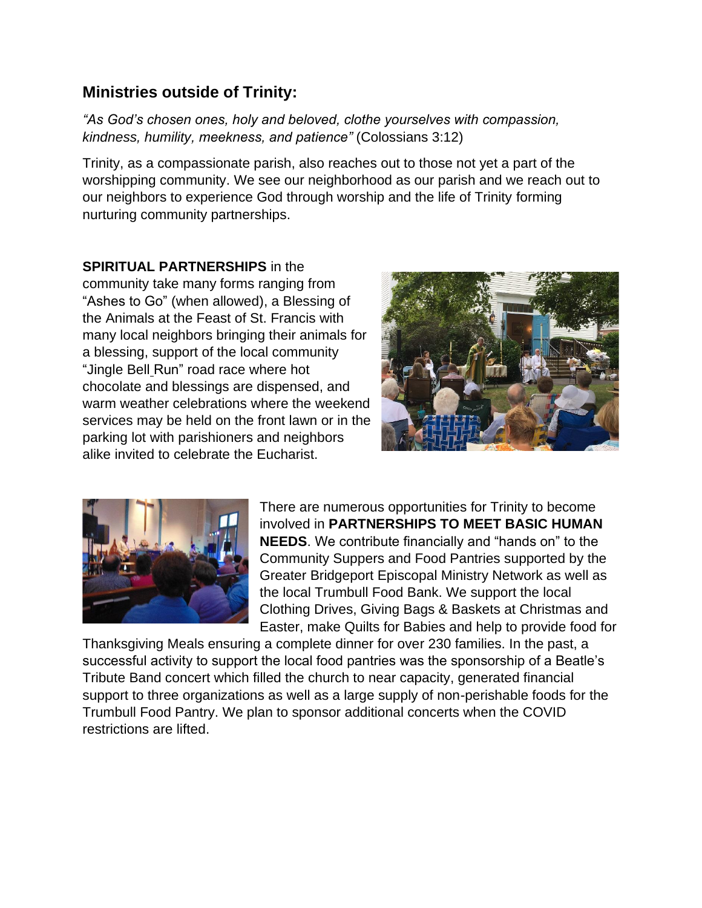## **Ministries outside of Trinity:**

*"As God's chosen ones, holy and beloved, clothe yourselves with compassion, kindness, humility, meekness, and patience"* (Colossians 3:12)

Trinity, as a compassionate parish, also reaches out to those not yet a part of the worshipping community. We see our neighborhood as our parish and we reach out to our neighbors to experience God through worship and the life of Trinity forming nurturing community partnerships.

**SPIRITUAL PARTNERSHIPS** in the community take many forms ranging from "Ashes to Go" (when allowed), a Blessing of the Animals at the Feast of St. Francis with many local neighbors bringing their animals for a blessing, support of the local community "Jingle Bell Run" road race where hot chocolate and blessings are dispensed, and warm weather celebrations where the weekend services may be held on the front lawn or in the parking lot with parishioners and neighbors alike invited to celebrate the Eucharist.





There are numerous opportunities for Trinity to become involved in **PARTNERSHIPS TO MEET BASIC HUMAN NEEDS**. We contribute financially and "hands on" to the Community Suppers and Food Pantries supported by the Greater Bridgeport Episcopal Ministry Network as well as the local Trumbull Food Bank. We support the local Clothing Drives, Giving Bags & Baskets at Christmas and Easter, make Quilts for Babies and help to provide food for

Thanksgiving Meals ensuring a complete dinner for over 230 families. In the past, a successful activity to support the local food pantries was the sponsorship of a Beatle's Tribute Band concert which filled the church to near capacity, generated financial support to three organizations as well as a large supply of non-perishable foods for the Trumbull Food Pantry. We plan to sponsor additional concerts when the COVID restrictions are lifted.